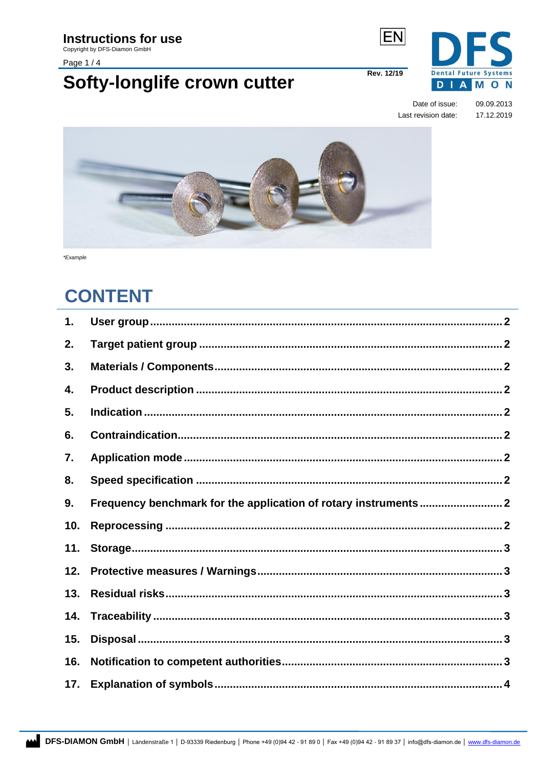### **Instructions for use**

Copyright by DFS-Diamon GmbH

Page 1/4

### Softy-longlife crown cutter

**Rev. 12/19** 

**EN** 



Date of issue: 09.09.2013 Last revision date: 17.12.2019



\*Example

### **CONTENT**

<span id="page-0-0"></span>

| 1.  |                                                                 |  |
|-----|-----------------------------------------------------------------|--|
| 2.  |                                                                 |  |
| 3.  |                                                                 |  |
| 4.  |                                                                 |  |
| 5.  |                                                                 |  |
| 6.  |                                                                 |  |
| 7.  |                                                                 |  |
| 8.  |                                                                 |  |
| 9.  | Frequency benchmark for the application of rotary instruments 2 |  |
| 10. |                                                                 |  |
| 11. |                                                                 |  |
| 12. |                                                                 |  |
| 13. |                                                                 |  |
| 14. |                                                                 |  |
| 15. |                                                                 |  |
| 16. |                                                                 |  |
| 17. |                                                                 |  |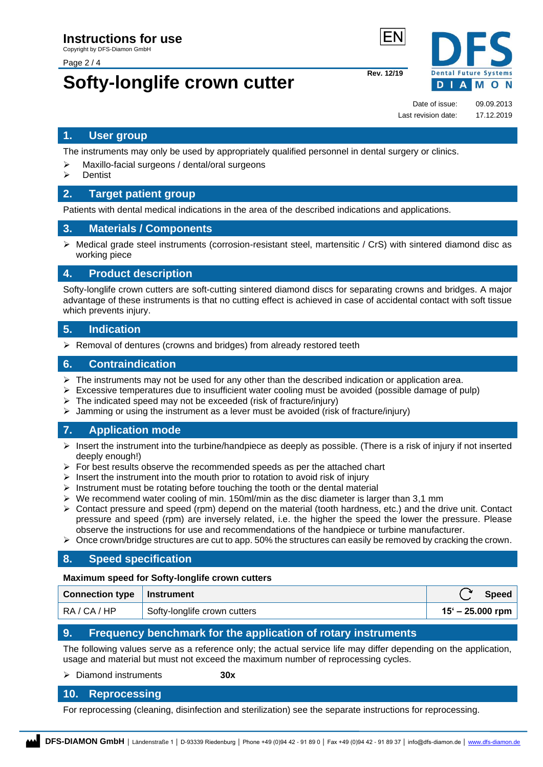Page 2 / 4

# **Softy-longlife crown cutter** Rev. 12/19

**Dental Future Systems DIAMON** 

Date of issue: 09.09.2013 Last revision date: 17.12.2019

#### **1. User group**

The instruments may only be used by appropriately qualified personnel in dental surgery or clinics.

- ➢ Maxillo-facial surgeons / dental/oral surgeons
- ➢ Dentist

#### <span id="page-1-0"></span>**2. Target patient group**

Patients with dental medical indications in the area of the described indications and applications.

#### <span id="page-1-1"></span>**3. Materials / Components**

 $\triangleright$  Medical grade steel instruments (corrosion-resistant steel, martensitic / CrS) with sintered diamond disc as working piece

#### <span id="page-1-2"></span>**4. Product description**

Softy-longlife crown cutters are soft-cutting sintered diamond discs for separating crowns and bridges. A major advantage of these instruments is that no cutting effect is achieved in case of accidental contact with soft tissue which prevents injury.

#### <span id="page-1-3"></span>**5. Indication**

➢ Removal of dentures (crowns and bridges) from already restored teeth

#### <span id="page-1-4"></span>**6. Contraindication**

- $\triangleright$  The instruments may not be used for any other than the described indication or application area.
- $\triangleright$  Excessive temperatures due to insufficient water cooling must be avoided (possible damage of pulp)
- $\triangleright$  The indicated speed may not be exceeded (risk of fracture/injury)
- $\triangleright$  Jamming or using the instrument as a lever must be avoided (risk of fracture/injury)

#### <span id="page-1-5"></span>**7. Application mode**

- $\triangleright$  Insert the instrument into the turbine/handpiece as deeply as possible. (There is a risk of injury if not inserted deeply enough!)
- $\triangleright$  For best results observe the recommended speeds as per the attached chart
- $\triangleright$  Insert the instrument into the mouth prior to rotation to avoid risk of injury
- $\triangleright$  Instrument must be rotating before touching the tooth or the dental material
- $\triangleright$  We recommend water cooling of min. 150ml/min as the disc diameter is larger than 3.1 mm
- ➢ Contact pressure and speed (rpm) depend on the material (tooth hardness, etc.) and the drive unit. Contact pressure and speed (rpm) are inversely related, i.e. the higher the speed the lower the pressure. Please observe the instructions for use and recommendations of the handpiece or turbine manufacturer.
- $\triangleright$  Once crown/bridge structures are cut to app. 50% the structures can easily be removed by cracking the crown.

#### <span id="page-1-6"></span>**8. Speed specification**

#### **Maximum speed for Softy-longlife crown cutters**

| Connection type   Instrument |                              | <b>Speed</b>       |
|------------------------------|------------------------------|--------------------|
| RA/CA/HP                     | Softy-longlife crown cutters | $15' - 25.000$ rpm |

#### <span id="page-1-7"></span>**9. Frequency benchmark for the application of rotary instruments**

The following values serve as a reference only; the actual service life may differ depending on the application, usage and material but must not exceed the maximum number of reprocessing cycles.

#### ➢ Diamond instruments **30x**

#### <span id="page-1-8"></span>**10. Reprocessing**

For reprocessing (cleaning, disinfection and sterilization) see the separate instructions for reprocessing.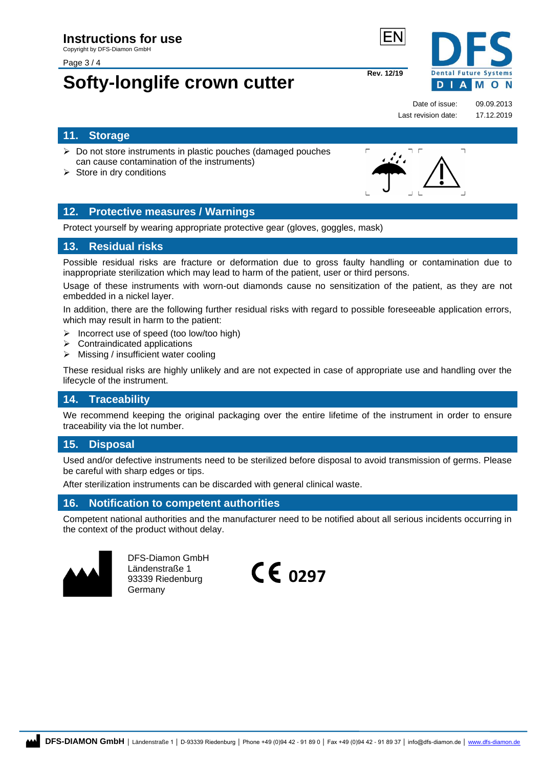Page 3 / 4

# **Softy-longlife crown cutter** Rev. 12/19

**Dental Future Systems** D **IAMON** 

 $\overline{\phantom{a}}$ 

Date of issue: 09.09.2013 Last revision date: 17.12.2019

#### <span id="page-2-0"></span>**11. Storage**

- ➢ Do not store instruments in plastic pouches (damaged pouches can cause contamination of the instruments)
- $\triangleright$  Store in dry conditions

#### <span id="page-2-1"></span>**12. Protective measures / Warnings**

Protect yourself by wearing appropriate protective gear (gloves, goggles, mask)

#### <span id="page-2-2"></span>**13. Residual risks**

Possible residual risks are fracture or deformation due to gross faulty handling or contamination due to inappropriate sterilization which may lead to harm of the patient, user or third persons.

Usage of these instruments with worn-out diamonds cause no sensitization of the patient, as they are not embedded in a nickel layer.

In addition, there are the following further residual risks with regard to possible foreseeable application errors, which may result in harm to the patient:

- ➢ Incorrect use of speed (too low/too high)
- ➢ Contraindicated applications
- ➢ Missing / insufficient water cooling

These residual risks are highly unlikely and are not expected in case of appropriate use and handling over the lifecycle of the instrument.

#### <span id="page-2-3"></span>**14. Traceability**

We recommend keeping the original packaging over the entire lifetime of the instrument in order to ensure traceability via the lot number.

#### <span id="page-2-4"></span>**15. Disposal**

Used and/or defective instruments need to be sterilized before disposal to avoid transmission of germs. Please be careful with sharp edges or tips.

After sterilization instruments can be discarded with general clinical waste.

#### <span id="page-2-5"></span>**16. Notification to competent authorities**

Competent national authorities and the manufacturer need to be notified about all serious incidents occurring in the context of the product without delay.



DFS-Diamon GmbH Ländenstraße 1 93339 Riedenburg Germany